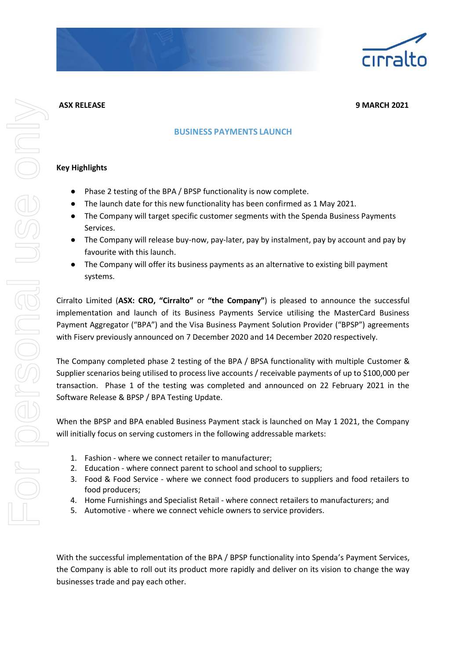

**ASX RELEASE 9 MARCH 2021**

## **BUSINESS PAYMENTS LAUNCH**

## **Key Highlights**

- Phase 2 testing of the BPA / BPSP functionality is now complete.
- The launch date for this new functionality has been confirmed as 1 May 2021.
- The Company will target specific customer segments with the Spenda Business Payments Services.
- The Company will release buy-now, pay-later, pay by instalment, pay by account and pay by favourite with this launch.
- The Company will offer its business payments as an alternative to existing bill payment systems.

Cirralto Limited (**ASX: CRO, "Cirralto"** or **"the Company"**) is pleased to announce the successful implementation and launch of its Business Payments Service utilising the MasterCard Business Payment Aggregator ("BPA") and the Visa Business Payment Solution Provider ("BPSP") agreements with Fiserv previously announced on 7 December 2020 and 14 December 2020 respectively.

The Company completed phase 2 testing of the BPA / BPSA functionality with multiple Customer & Supplier scenarios being utilised to process live accounts / receivable payments of up to \$100,000 per transaction. Phase 1 of the testing was completed and announced on 22 February 2021 in the Software Release & BPSP / BPA Testing Update.

When the BPSP and BPA enabled Business Payment stack is launched on May 1 2021, the Company will initially focus on serving customers in the following addressable markets:

- 1. Fashion where we connect retailer to manufacturer;
- 2. Education where connect parent to school and school to suppliers;
- 3. Food & Food Service where we connect food producers to suppliers and food retailers to food producers;
- 4. Home Furnishings and Specialist Retail where connect retailers to manufacturers; and
- 5. Automotive where we connect vehicle owners to service providers.

With the successful implementation of the BPA / BPSP functionality into Spenda's Payment Services, the Company is able to roll out its product more rapidly and deliver on its vision to change the way businesses trade and pay each other.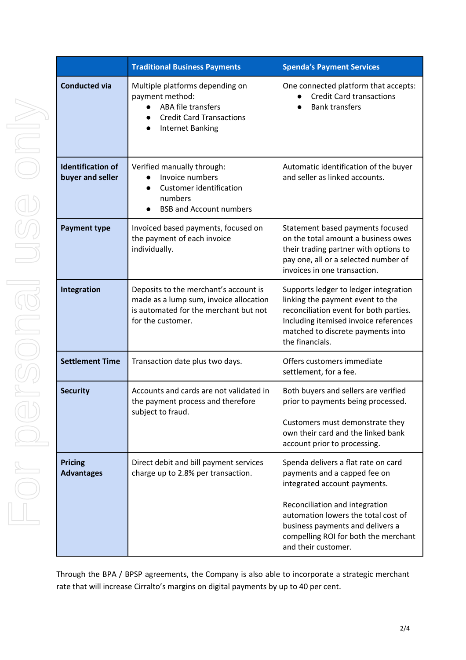|                                              | <b>Traditional Business Payments</b>                                                                                                          | <b>Spenda's Payment Services</b>                                                                                                                                                                                     |
|----------------------------------------------|-----------------------------------------------------------------------------------------------------------------------------------------------|----------------------------------------------------------------------------------------------------------------------------------------------------------------------------------------------------------------------|
| <b>Conducted via</b>                         | Multiple platforms depending on<br>payment method:<br>ABA file transfers<br><b>Credit Card Transactions</b><br><b>Internet Banking</b>        | One connected platform that accepts:<br><b>Credit Card transactions</b><br><b>Bank transfers</b>                                                                                                                     |
| <b>Identification of</b><br>buyer and seller | Verified manually through:<br>Invoice numbers<br><b>Customer identification</b><br>numbers<br><b>BSB and Account numbers</b>                  | Automatic identification of the buyer<br>and seller as linked accounts.                                                                                                                                              |
| <b>Payment type</b>                          | Invoiced based payments, focused on<br>the payment of each invoice<br>individually.                                                           | Statement based payments focused<br>on the total amount a business owes<br>their trading partner with options to<br>pay one, all or a selected number of<br>invoices in one transaction.                             |
| Integration                                  | Deposits to the merchant's account is<br>made as a lump sum, invoice allocation<br>is automated for the merchant but not<br>for the customer. | Supports ledger to ledger integration<br>linking the payment event to the<br>reconciliation event for both parties.<br>Including itemised invoice references<br>matched to discrete payments into<br>the financials. |
| <b>Settlement Time</b>                       | Transaction date plus two days.                                                                                                               | Offers customers immediate<br>settlement, for a fee.                                                                                                                                                                 |
| <b>Security</b>                              | Accounts and cards are not validated in<br>the payment process and therefore<br>subject to fraud.                                             | Both buyers and sellers are verified<br>prior to payments being processed.                                                                                                                                           |
|                                              |                                                                                                                                               | Customers must demonstrate they<br>own their card and the linked bank<br>account prior to processing.                                                                                                                |
| <b>Pricing</b><br><b>Advantages</b>          | Direct debit and bill payment services<br>charge up to 2.8% per transaction.                                                                  | Spenda delivers a flat rate on card<br>payments and a capped fee on<br>integrated account payments.                                                                                                                  |
|                                              |                                                                                                                                               | Reconciliation and integration<br>automation lowers the total cost of<br>business payments and delivers a<br>compelling ROI for both the merchant<br>and their customer.                                             |

Through the BPA / BPSP agreements, the Company is also able to incorporate a strategic merchant rate that will increase Cirralto's margins on digital payments by up to 40 per cent.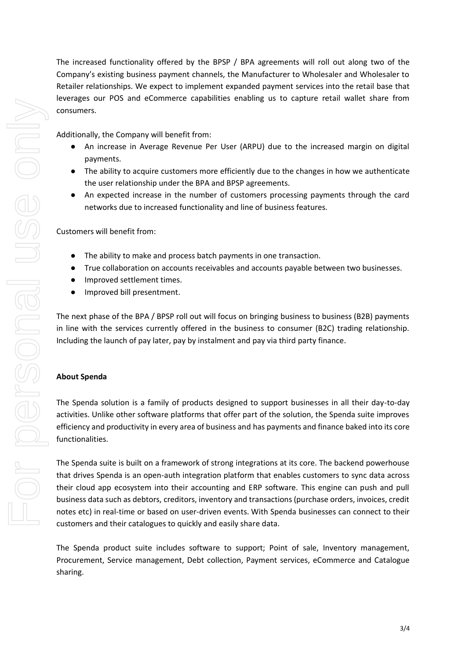The increased functionality offered by the BPSP / BPA agreements will roll out along two of the Company's existing business payment channels, the Manufacturer to Wholesaler and Wholesaler to Retailer relationships. We expect to implement expanded payment services into the retail base that leverages our POS and eCommerce capabilities enabling us to capture retail wallet share from consumers.

Additionally, the Company will benefit from:

- An increase in Average Revenue Per User (ARPU) due to the increased margin on digital payments.
- The ability to acquire customers more efficiently due to the changes in how we authenticate the user relationship under the BPA and BPSP agreements.
- An expected increase in the number of customers processing payments through the card networks due to increased functionality and line of business features.

Customers will benefit from:

- The ability to make and process batch payments in one transaction.
- True collaboration on accounts receivables and accounts payable between two businesses.
- Improved settlement times.
- Improved bill presentment.

The next phase of the BPA / BPSP roll out will focus on bringing business to business (B2B) payments in line with the services currently offered in the business to consumer (B2C) trading relationship. Including the launch of pay later, pay by instalment and pay via third party finance.

## **About Spenda**

The Spenda solution is a family of products designed to support businesses in all their day-to-day activities. Unlike other software platforms that offer part of the solution, the Spenda suite improves efficiency and productivity in every area of business and has payments and finance baked into its core functionalities.

The Spenda suite is built on a framework of strong integrations at its core. The backend powerhouse that drives Spenda is an open-auth integration platform that enables customers to sync data across their cloud app ecosystem into their accounting and ERP software. This engine can push and pull business data such as debtors, creditors, inventory and transactions (purchase orders, invoices, credit notes etc) in real-time or based on user-driven events. With Spenda businesses can connect to their customers and their catalogues to quickly and easily share data.

The Spenda product suite includes software to support; Point of sale, Inventory management, Procurement, Service management, Debt collection, Payment services, eCommerce and Catalogue sharing.